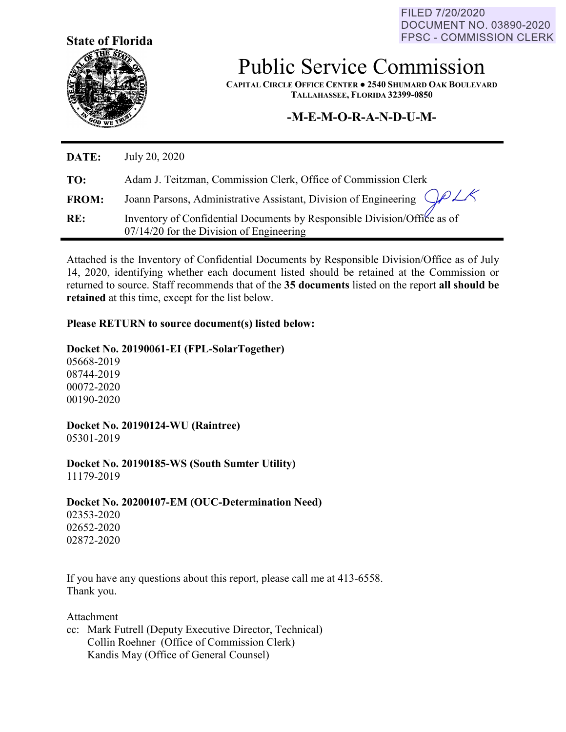**State of Florida**





Public Service Commission

**CAPITAL CIRCLE OFFICE CENTER ● 2540 SHUMARD OAK BOULEVARD TALLAHASSEE, FLORIDA 32399-0850**

# **-M-E-M-O-R-A-N-D-U-M-**

| DATE:        | July 20, 2020                                                                                                          |
|--------------|------------------------------------------------------------------------------------------------------------------------|
| TO:          | Adam J. Teitzman, Commission Clerk, Office of Commission Clerk                                                         |
| <b>FROM:</b> | Joann Parsons, Administrative Assistant, Division of Engineering $QPZR$                                                |
| RE:          | Inventory of Confidential Documents by Responsible Division/Office as of<br>$07/14/20$ for the Division of Engineering |

Attached is the Inventory of Confidential Documents by Responsible Division/Office as of July 14, 2020, identifying whether each document listed should be retained at the Commission or returned to source. Staff recommends that of the **35 documents** listed on the report **all should be retained** at this time, except for the list below.

## **Please RETURN to source document(s) listed below:**

### **Docket No. 20190061-EI (FPL-SolarTogether)**

05668-2019 08744-2019 00072-2020 00190-2020

**Docket No. 20190124-WU (Raintree)** 05301-2019

**Docket No. 20190185-WS (South Sumter Utility)** 11179-2019

**Docket No. 20200107-EM (OUC-Determination Need)**

02353-2020 02652-2020 02872-2020

If you have any questions about this report, please call me at 413-6558. Thank you.

Attachment

cc: Mark Futrell (Deputy Executive Director, Technical) Collin Roehner (Office of Commission Clerk) Kandis May (Office of General Counsel)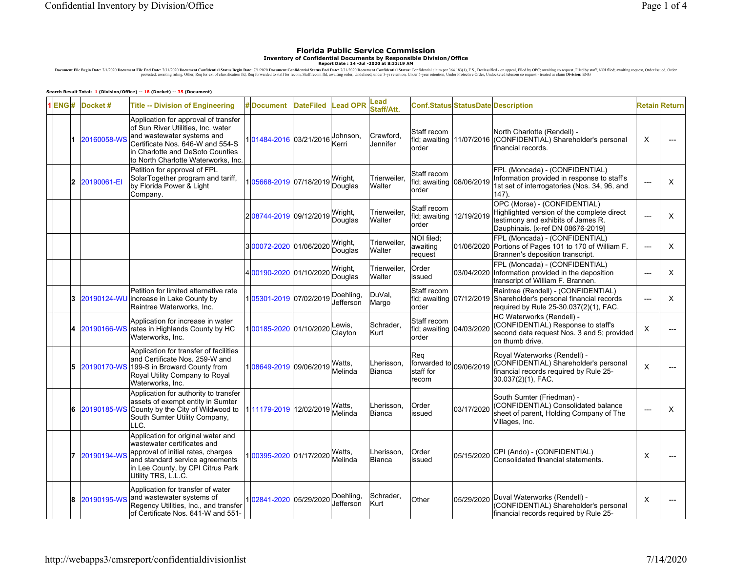#### **Florida Public Service CommissionInventory of Confidential Documents by Responsible Division/Office Report Date : 14 -Jul -2020 at 8:33:19 AM**

Document File Begin Date: 7/1/2020 Document File End Date: 73/2020 Document Confidential Status Begin Date: 7/1/2020 Document File prosecus. Confidential States in States in States in States in the States in States in the

#### **Search Result Total: 1 (Division/Office) -- 18 (Docket) -- 35 (Document)**

|  |                | $1$ <b>ENG#</b> Docket # | <b>Title -- Division of Engineering</b>                                                                                                                                                                                 | <b>Document</b>        | <b>DateFiled</b> | <b>Lead OPR</b>        | Lead<br>Staff/Att.          |                                                  |            | Conf.Status StatusDate Description                                                                                                                    |                | <b>Retain Return</b> |
|--|----------------|--------------------------|-------------------------------------------------------------------------------------------------------------------------------------------------------------------------------------------------------------------------|------------------------|------------------|------------------------|-----------------------------|--------------------------------------------------|------------|-------------------------------------------------------------------------------------------------------------------------------------------------------|----------------|----------------------|
|  |                | 20160058-WS              | Application for approval of transfer<br>of Sun River Utilities, Inc. water<br>and wastewater systems and<br>Certificate Nos. 646-W and 554-S<br>in Charlotte and DeSoto Counties<br>to North Charlotte Waterworks, Inc. | 01484-2016 03/21/2016  |                  | Johnson,<br>Kerri      | Crawford.<br>Jennifer       | Staff recom<br>fld; awaiting 11/07/2016<br>order |            | North Charlotte (Rendell) -<br>(CONFIDENTIAL) Shareholder's personal<br>financial records.                                                            | X              |                      |
|  | $\overline{2}$ | 20190061-EI              | Petition for approval of FPL<br>SolarTogether program and tariff,<br>by Florida Power & Light<br>Company.                                                                                                               | 105668-2019 07/18/2019 |                  | Wright,<br>Douglas     | Trierweiler.<br>Walter      | Staff recom<br>fld; awaiting<br>order            | 08/06/2019 | FPL (Moncada) - (CONFIDENTIAL)<br>Information provided in response to staff's<br>1st set of interrogatories (Nos. 34, 96, and<br>147).                | ---            | X                    |
|  |                |                          |                                                                                                                                                                                                                         | 208744-2019 09/12/2019 |                  | Wright,<br>Douglas     | Trierweiler.<br>Walter      | Staff recom<br>fld; awaiting<br>order            | 12/19/2019 | OPC (Morse) - (CONFIDENTIAL)<br>Highlighted version of the complete direct<br>testimony and exhibits of James R.<br>Dauphinais. [x-ref DN 08676-2019] | $---$          | X                    |
|  |                |                          |                                                                                                                                                                                                                         | 300072-2020 01/06/2020 |                  | Wright,<br>Douglas     | Trierweiler,<br>Walter      | NOI filed:<br>awaiting<br>request                |            | FPL (Moncada) - (CONFIDENTIAL)<br>01/06/2020 Portions of Pages 101 to 170 of William F.<br>Brannen's deposition transcript.                           | $\overline{a}$ | X                    |
|  |                |                          |                                                                                                                                                                                                                         | 400190-2020 01/10/2020 |                  | Wright,<br>Douglas     | Trierweiler,<br>Walter      | Order<br>issued                                  | 03/04/2020 | FPL (Moncada) - (CONFIDENTIAL)<br>Information provided in the deposition<br>transcript of William F. Brannen.                                         | ---            | X                    |
|  | 3              |                          | Petition for limited alternative rate<br>20190124-WU lincrease in Lake County by<br>Raintree Waterworks, Inc.                                                                                                           | 105301-2019 07/02/2019 |                  | Doehling,<br>Jefferson | DuVal,<br>Margo             | Staff recom<br>fld; awaiting 07/12/2019<br>order |            | Raintree (Rendell) - (CONFIDENTIAL)<br>Shareholder's personal financial records<br>required by Rule 25-30.037(2)(1), FAC.                             | $---$          | X                    |
|  |                | 20190166-WS              | Application for increase in water<br>rates in Highlands County by HC<br>Waterworks, Inc.                                                                                                                                | 100185-2020 01/10/2020 |                  | Lewis.<br>Clayton      | Schrader.<br>Kurt           | Staff recom<br>fld; awaiting 04/03/2020<br>order |            | HC Waterworks (Rendell) -<br>(CONFIDENTIAL) Response to staff's<br>second data request Nos. 3 and 5; provided<br>on thumb drive.                      | X              |                      |
|  | 5              | 20190170-WS              | Application for transfer of facilities<br>and Certificate Nos. 259-W and<br>199-S in Broward County from<br>Royal Utility Company to Royal<br>Waterworks, Inc.                                                          | 108649-2019 09/06/2019 |                  | Watts.<br>Melinda      | Lherisson.<br><b>Bianca</b> | Req<br>forwarded to<br>staff for<br>recom        | 09/06/2019 | Royal Waterworks (Rendell) -<br>(CONFIDENTIAL) Shareholder's personal<br>financial records required by Rule 25-<br>30.037(2)(1), FAC.                 | X              |                      |
|  | 6              |                          | Application for authority to transfer<br>assets of exempt entity in Sumter<br>20190185-WS County by the City of Wildwood to<br>South Sumter Utility Company,<br>LLC.                                                    | 111179-2019 12/02/2019 |                  | Watts.<br>Melinda      | Lherisson.<br><b>Bianca</b> | Order<br>issued                                  | 03/17/2020 | South Sumter (Friedman) -<br>(CONFIDENTIAL) Consolidated balance<br>sheet of parent, Holding Company of The<br>Villages, Inc.                         | $\overline{a}$ | X                    |
|  |                | 20190194-WS              | Application for original water and<br>wastewater certificates and<br>approval of initial rates, charges<br>and standard service agreements<br>in Lee County, by CPI Citrus Park<br>Utility TRS, L.L.C.                  | 00395-2020 01/17/2020  |                  | Watts,<br>Melinda      | Lherisson.<br>Bianca        | Order<br>issued                                  | 05/15/2020 | CPI (Ando) - (CONFIDENTIAL)<br>Consolidated financial statements.                                                                                     | X              |                      |
|  |                | 8 20190195-WS            | Application for transfer of water<br>and wastewater systems of<br>Regency Utilities, Inc., and transfer<br>of Certificate Nos. 641-W and 551-                                                                           | 102841-2020 05/29/2020 |                  | Doehling,<br>Jefferson | Schrader,<br>Kurt           | Other                                            | 05/29/2020 | Duval Waterworks (Rendell) -<br>(CONFIDENTIAL) Shareholder's personal<br>financial records required by Rule 25-                                       | X              |                      |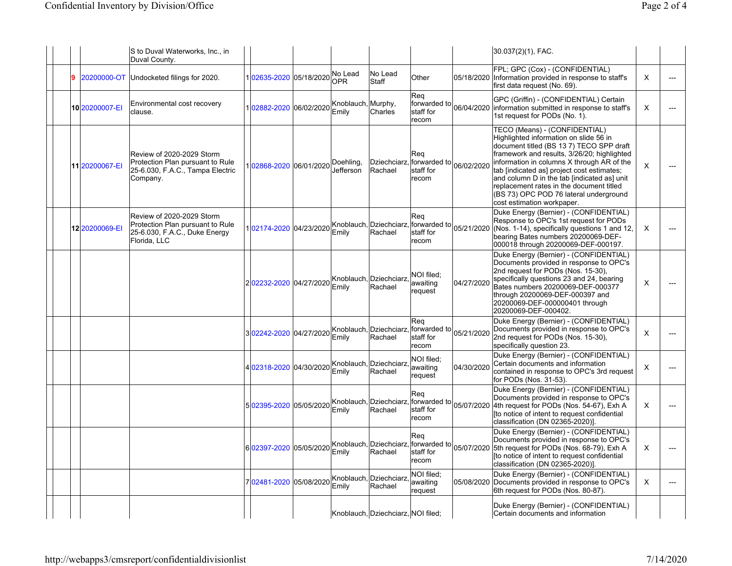|                | S to Duval Waterworks, Inc., in<br>Duval County.                                                               |                                                  |                             |                                    |                                                              |            | 30.037(2)(1), FAC.                                                                                                                                                                                                                                                                                                                                                                                                                |          |  |
|----------------|----------------------------------------------------------------------------------------------------------------|--------------------------------------------------|-----------------------------|------------------------------------|--------------------------------------------------------------|------------|-----------------------------------------------------------------------------------------------------------------------------------------------------------------------------------------------------------------------------------------------------------------------------------------------------------------------------------------------------------------------------------------------------------------------------------|----------|--|
| 20200000-OT    | Undocketed filings for 2020.                                                                                   | 1 02635-2020 05/18/2020 No Lead                  | <b>OPR</b>                  | No Lead<br><b>Staff</b>            | Other                                                        | 05/18/2020 | FPL; GPC (Cox) - (CONFIDENTIAL)<br>Information provided in response to staff's<br>first data request (No. 69).                                                                                                                                                                                                                                                                                                                    | X        |  |
| 10 20200007-EI | Environmental cost recovery<br>clause.                                                                         | 02882-2020 06/02/2020                            | Knoblauch, Murphy,<br>Emily | Charles                            | Reg<br>forwarded to<br>staff for<br>recom                    | 06/04/2020 | GPC (Griffin) - (CONFIDENTIAL) Certain<br>information submitted in response to staff's<br>1st request for PODs (No. 1).                                                                                                                                                                                                                                                                                                           | X        |  |
| 11 20200067-EI | Review of 2020-2029 Storm<br>Protection Plan pursuant to Rule<br>25-6.030, F.A.C., Tampa Electric<br>Company.  | 102868-2020 06/01/2020                           | Doehling,<br>Jefferson      | Dziechciarz,<br>Rachael            | Req<br>, forwarded to $ _{06/02/2020}$<br>staff for<br>recom |            | TECO (Means) - (CONFIDENTIAL)<br>Highlighted information on slide 56 in<br>document titled (BS 13 7) TECO SPP draft<br>framework and results, 3/26/20; highlighted<br>information in columns X through AR of the<br>tab [indicated as] project cost estimates;<br>and column D in the tab [indicated as] unit<br>replacement rates in the document titled<br>(BS 73) OPC POD 76 lateral underground<br>cost estimation workpaper. | X        |  |
| 12 20200069-EI | Review of 2020-2029 Storm<br>Protection Plan pursuant to Rule<br>25-6.030, F.A.C., Duke Energy<br>Florida, LLC | 102174-2020 04/23/2020                           | Emily                       | Knoblauch, Dziechciarz<br>Rachael  | Req<br>lforwarded to<br>staff for<br>recom                   | 05/21/2020 | Duke Energy (Bernier) - (CONFIDENTIAL)<br>Response to OPC's 1st request for PODs<br>(Nos. 1-14), specifically questions 1 and 12,<br>bearing Bates numbers 20200069-DEF-<br>000018 through 20200069-DEF-000197.                                                                                                                                                                                                                   | $\times$ |  |
|                |                                                                                                                | 2 02232-2020  04/27/2020 Knoblauch, Dziechciarz  | Emily                       | Rachael                            | NOI filed:<br>awaiting<br>request                            | 04/27/2020 | Duke Energy (Bernier) - (CONFIDENTIAL)<br>Documents provided in response to OPC's<br>2nd request for PODs (Nos. 15-30),<br>specifically questions 23 and 24, bearing<br>Bates numbers 20200069-DEF-000377<br>through 20200069-DEF-000397 and<br>20200069-DEF-000000401 through<br>20200069-DEF-000402.                                                                                                                            | X        |  |
|                |                                                                                                                | 3 02242-2020  04/27/2020 Knoblauch, Dziechciarz, | Emily                       | Rachael                            | Rea<br>forwarded to<br>staff for<br>recom                    | 05/21/2020 | Duke Energy (Bernier) - (CONFIDENTIAL)<br>Documents provided in response to OPC's<br>2nd request for PODs (Nos. 15-30),<br>specifically question 23.                                                                                                                                                                                                                                                                              | X        |  |
|                |                                                                                                                | 402318-2020 04/30/2020                           | Emily                       | Knoblauch, Dziechciarz<br>Rachael  | NOI filed:<br>awaiting<br>request                            | 04/30/2020 | Duke Energy (Bernier) - (CONFIDENTIAL)<br>Certain documents and information<br>contained in response to OPC's 3rd request<br>for PODs (Nos. 31-53).                                                                                                                                                                                                                                                                               | X        |  |
|                |                                                                                                                | 502395-2020 05/05/2020                           | Emily                       | Knoblauch, Dziechciarz<br>Rachael  | Req<br>forwarded to $ _{05/07/2020}$<br>staff for<br>recom   |            | Duke Energy (Bernier) - (CONFIDENTIAL)<br>Documents provided in response to OPC's<br>4th request for PODs (Nos. 54-67), Exh A<br>Ito notice of intent to request confidential<br>classification (DN 02365-2020)].                                                                                                                                                                                                                 | $\times$ |  |
|                |                                                                                                                | 6 02397-2020  05/05/2020 Knoblauch, Dziechciarz, | Emily                       | Rachael                            | Rea<br>forwarded to $ _{05/07/2020}$<br>staff for<br>recom   |            | Duke Energy (Bernier) - (CONFIDENTIAL)<br>Documents provided in response to OPC's<br>5th request for PODs (Nos. 68-79), Exh A<br>Ito notice of intent to request confidential<br>classification (DN 02365-2020)].                                                                                                                                                                                                                 | X        |  |
|                |                                                                                                                | 702481-2020 05/08/2020                           | Emily                       | Knoblauch, Dziechciarz<br>Rachael  | NOI filed;<br>awaiting<br>request                            | 05/08/2020 | Duke Energy (Bernier) - (CONFIDENTIAL)<br>Documents provided in response to OPC's<br>6th request for PODs (Nos. 80-87).                                                                                                                                                                                                                                                                                                           | $\times$ |  |
|                |                                                                                                                |                                                  |                             | Knoblauch, Dziechciarz, NOI filed; |                                                              |            | Duke Energy (Bernier) - (CONFIDENTIAL)<br>Certain documents and information                                                                                                                                                                                                                                                                                                                                                       |          |  |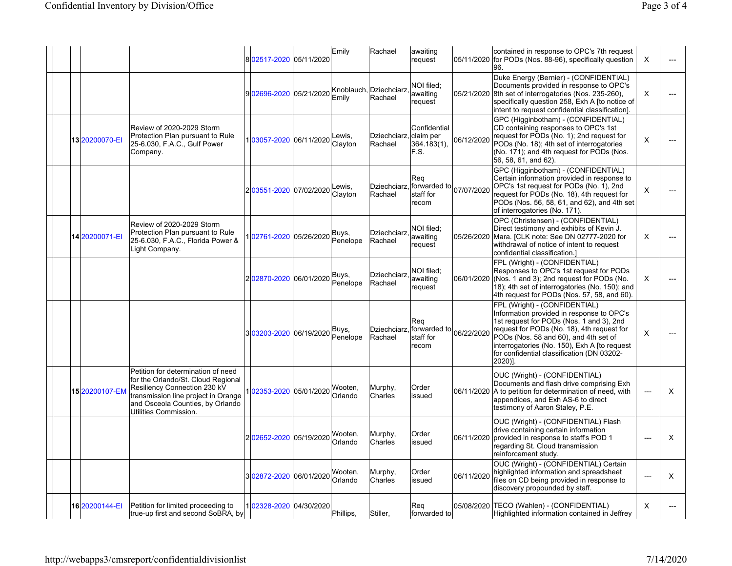|  |                |                                                                                                                                                                                                              | 802517-2020 05/11/2020 |            | Emily              | Rachael                           | awaiting<br>request                               | 05/11/2020 | contained in response to OPC's 7th request<br>for PODs (Nos. 88-96), specifically question<br>96.                                                                                                                                                                                                                      | $\times$       | ---      |
|--|----------------|--------------------------------------------------------------------------------------------------------------------------------------------------------------------------------------------------------------|------------------------|------------|--------------------|-----------------------------------|---------------------------------------------------|------------|------------------------------------------------------------------------------------------------------------------------------------------------------------------------------------------------------------------------------------------------------------------------------------------------------------------------|----------------|----------|
|  |                |                                                                                                                                                                                                              | 902696-2020            | 05/21/2020 | Emily              | Knoblauch, Dziechciarz<br>Rachael | NOI filed:<br>awaiting<br>request                 | 05/21/2020 | Duke Energy (Bernier) - (CONFIDENTIAL)<br>Documents provided in response to OPC's<br>8th set of interrogatories (Nos. 235-260),<br>specifically question 258, Exh A [to notice of<br>intent to request confidential classification].                                                                                   | X              |          |
|  | 13 20200070-EI | Review of 2020-2029 Storm<br>Protection Plan pursuant to Rule<br>25-6.030, F.A.C., Gulf Power<br>Company.                                                                                                    | 103057-2020            | 06/11/2020 | Lewis.<br>Clayton  | Dziechciarz.<br>Rachael           | Confidential<br>Iclaim per<br>364.183(1),<br>F.S. | 06/12/2020 | GPC (Higginbotham) - (CONFIDENTIAL)<br>CD containing responses to OPC's 1st<br>request for PODs (No. 1); 2nd request for<br>PODs (No. 18); 4th set of interrogatories<br>(No. 171); and 4th request for PODs (Nos.<br>56, 58, 61, and 62).                                                                             | X              |          |
|  |                |                                                                                                                                                                                                              | 203551-2020 07/02/2020 |            | _ewis,<br>Clayton  | Dziechciarz<br>Rachael            | Req<br>forwarded to<br>staff for<br>recom         | 07/07/2020 | GPC (Higginbotham) - (CONFIDENTIAL)<br>Certain information provided in response to<br>OPC's 1st request for PODs (No. 1), 2nd<br>request for PODs (No. 18), 4th request for<br>PODs (Nos. 56, 58, 61, and 62), and 4th set<br>of interrogatories (No. 171).                                                            | $\times$       |          |
|  | 14 20200071-EI | Review of 2020-2029 Storm<br>Protection Plan pursuant to Rule<br>25-6.030, F.A.C., Florida Power &<br>Light Company.                                                                                         | 02761-2020             | 05/26/2020 | Buys,<br>Penelope  | <b>Dziechciarz</b><br>Rachael     | NOI filed:<br>awaiting<br>request                 | 05/26/2020 | OPC (Christensen) - (CONFIDENTIAL)<br>Direct testimony and exhibits of Kevin J.<br>Mara. [CLK note: See DN 02777-2020 for<br>withdrawal of notice of intent to request<br>confidential classification.]                                                                                                                | X              |          |
|  |                |                                                                                                                                                                                                              | 202870-2020 06/01/2020 |            | Buys,<br>Penelope  | <b>Dziechciarz</b><br>Rachael     | NOI filed:<br>awaiting<br>request                 | 06/01/2020 | FPL (Wright) - (CONFIDENTIAL)<br>Responses to OPC's 1st request for PODs<br>(Nos. 1 and 3); 2nd request for PODs (No.<br>18); 4th set of interrogatories (No. 150); and<br>4th request for PODs (Nos. 57, 58, and 60).                                                                                                 | X              |          |
|  |                |                                                                                                                                                                                                              | 303203-2020 06/19/2020 |            | Buys,<br>Penelope  | <b>Dziechciarz</b><br>Rachael     | Req<br>forwarded to<br>staff for<br>recom         | 06/22/2020 | FPL (Wright) - (CONFIDENTIAL)<br>Information provided in response to OPC's<br>1st request for PODs (Nos. 1 and 3), 2nd<br>request for PODs (No. 18), 4th request for<br>PODs (Nos. 58 and 60), and 4th set of<br>interrogatories (No. 150), Exh A [to request<br>for confidential classification (DN 03202-<br>2020)]. | X              |          |
|  | 15 20200107-EN | Petition for determination of need<br>for the Orlando/St. Cloud Regional<br>Resiliency Connection 230 kV<br>transmission line project in Orange<br>and Osceola Counties, by Orlando<br>Utilities Commission. | 02353-2020             | 05/01/2020 | Wooten,<br>Orlando | Murphy,<br>Charles                | Order<br>issued                                   | 06/11/2020 | OUC (Wright) - (CONFIDENTIAL)<br>Documents and flash drive comprising Exh<br>A to petition for determination of need, with<br>appendices, and Exh AS-6 to direct<br>testimony of Aaron Staley, P.E.                                                                                                                    | ---            | X        |
|  |                |                                                                                                                                                                                                              | 202652-2020 05/19/2020 |            | Wooten.<br>Orlando | Murphy,<br>Charles                | Order<br>issued                                   | 06/11/2020 | OUC (Wright) - (CONFIDENTIAL) Flash<br>drive containing certain information<br>provided in response to staff's POD 1<br>regarding St. Cloud transmission<br>reinforcement study.                                                                                                                                       | $\overline{a}$ | X        |
|  |                |                                                                                                                                                                                                              | 302872-2020 06/01/2020 |            | Wooten,<br>Orlando | Murphy,<br>Charles                | Order<br>issued                                   | 06/11/2020 | OUC (Wright) - (CONFIDENTIAL) Certain<br>highlighted information and spreadsheet<br>files on CD being provided in response to<br>discovery propounded by staff.                                                                                                                                                        | ---            | $\times$ |
|  | 16 20200144-EI | Petition for limited proceeding to<br>true-up first and second SoBRA, by                                                                                                                                     | 102328-2020 04/30/2020 |            | Phillips,          | Stiller,                          | Reg<br>forwarded to                               | 05/08/2020 | TECO (Wahlen) - (CONFIDENTIAL)<br>Highlighted information contained in Jeffrey                                                                                                                                                                                                                                         | X              |          |